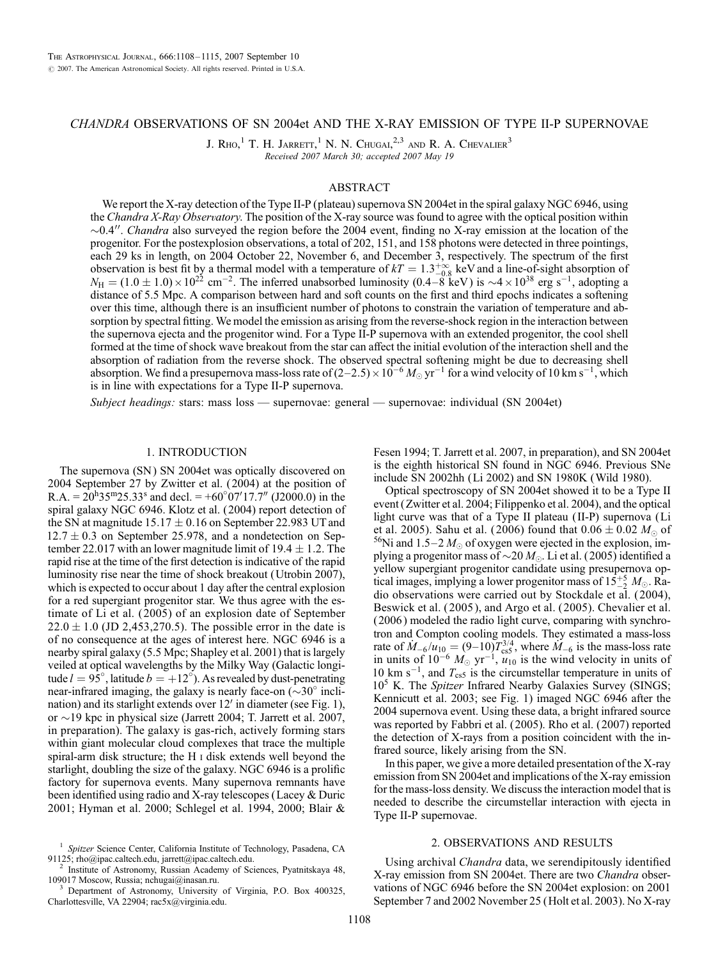# CHANDRA OBSERVATIONS OF SN 2004et AND THE X-RAY EMISSION OF TYPE II-P SUPERNOVAE

J. Rho,<sup>1</sup> T. H. Jarrett,<sup>1</sup> N. N. Chugai,<sup>2,3</sup> and R. A. Chevalier<sup>3</sup> Received 2007 March 30; accepted 2007 May 19

## ABSTRACT

We report the X-ray detection of the Type II-P (plateau) supernova SN 2004et in the spiral galaxy NGC 6946, using the Chandra X-Ray Observatory. The position of the X-ray source was found to agree with the optical position within  $\sim 0.4$ ". Chandra also surveyed the region before the 2004 event, finding no X-ray emission at the location of the progenitor. For the postexplosion observations, a total of 202, 151, and 158 photons were detected in three pointings, each 29 ks in length, on 2004 October 22, November 6, and December 3, respectively. The spectrum of the first observation is best fit by a thermal model with a temperature of  $kT = 1.3^{+\infty}_{-0.8}$  keV and a line-of-sight absorption of  $N_{\rm H} = (1.0 \pm 1.0) \times 10^{22}$  cm<sup>-2</sup>. The inferred unabsorbed luminosity (0.4–8 keV) is  $\sim$ 4 × 10<sup>38</sup> erg s<sup>-1</sup>, adopting a distance of 5.5 Mpc. A comparison between hard and soft counts on the first and third epochs indicates a softening over this time, although there is an insufficient number of photons to constrain the variation of temperature and absorption by spectral fitting. We model the emission as arising from the reverse-shock region in the interaction between the supernova ejecta and the progenitor wind. For a Type II-P supernova with an extended progenitor, the cool shell formed at the time of shock wave breakout from the star can affect the initial evolution of the interaction shell and the absorption of radiation from the reverse shock. The observed spectral softening might be due to decreasing shell absorption. We find a presupernova mass-loss rate of  $(2-2.5) \times 10^{-6} M_{\odot}$  yr<sup>-1</sup> for a wind velocity of 10 km s<sup>-1</sup>, which is in line with expectations for a Type II-P supernova.

Subject headings: stars: mass loss — supernovae: general — supernovae: individual (SN 2004et)

## 1. INTRODUCTION

The supernova (SN) SN 2004et was optically discovered on 2004 September 27 by Zwitter et al. (2004) at the position of R.A. =  $20^{\text{h}}35^{\text{m}}25.33^{\text{s}}$  and decl. = +60°07'17.7" (J2000.0) in the spiral galaxy NGC 6946. Klotz et al. (2004) report detection of the SN at magnitude  $15.17 \pm 0.16$  on September 22.983 UT and  $12.7 \pm 0.3$  on September 25.978, and a nondetection on September 22.017 with an lower magnitude limit of 19.4  $\pm$  1.2. The rapid rise at the time of the first detection is indicative of the rapid luminosity rise near the time of shock breakout (Utrobin 2007), which is expected to occur about 1 day after the central explosion for a red supergiant progenitor star. We thus agree with the estimate of Li et al. ( 2005) of an explosion date of September  $22.0 \pm 1.0$  (JD 2,453,270.5). The possible error in the date is of no consequence at the ages of interest here. NGC 6946 is a nearby spiral galaxy (5.5 Mpc; Shapley et al. 2001) that is largely veiled at optical wavelengths by the Milky Way (Galactic longitude  $l = 95^\circ$ , latitude  $b = +12^\circ$ ). As revealed by dust-penetrating near-infrared imaging, the galaxy is nearly face-on  $({\sim}30^{\circ}$  inclination) and its starlight extends over  $12'$  in diameter (see Fig. 1), or  $\sim$ 19 kpc in physical size (Jarrett 2004; T. Jarrett et al. 2007, in preparation). The galaxy is gas-rich, actively forming stars within giant molecular cloud complexes that trace the multiple spiral-arm disk structure; the H i disk extends well beyond the starlight, doubling the size of the galaxy. NGC 6946 is a prolific factory for supernova events. Many supernova remnants have been identified using radio and X-ray telescopes (Lacey & Duric 2001; Hyman et al. 2000; Schlegel et al. 1994, 2000; Blair &

109017 Moscow, Russia; nchugai@inasan.ru. <sup>3</sup> Department of Astronomy, University of Virginia, P.O. Box 400325,

Charlottesville, VA 22904; rac5x@virginia.edu.

Fesen 1994; T. Jarrett et al. 2007, in preparation), and SN 2004et is the eighth historical SN found in NGC 6946. Previous SNe include SN 2002hh (Li 2002) and SN 1980K (Wild 1980).

Optical spectroscopy of SN 2004et showed it to be a Type II event (Zwitter et al. 2004; Filippenko et al. 2004), and the optical light curve was that of a Type II plateau ( II-P) supernova (Li et al. 2005). Sahu et al. (2006) found that  $0.06 \pm 0.02$   $M_{\odot}$  of <sup>56</sup>Ni and 1.5–2  $M_{\odot}$  of oxygen were ejected in the explosion, implying a progenitor mass of  $\sim 20 M_{\odot}$ . Li et al. (2005) identified a yellow supergiant progenitor candidate using presupernova optical images, implying a lower progenitor mass of  $15\frac{+5}{2} M_{\odot}$ . Radio observations were carried out by Stockdale et al. ( 2004), Beswick et al. ( 2005 ), and Argo et al. ( 2005). Chevalier et al. (2006 ) modeled the radio light curve, comparing with synchrotron and Compton cooling models. They estimated a mass-loss rate of  $\dot{M}_{-6}/\dot{u}_{10} = (9-10)\dot{T}_{\text{cs}}^{3/4}$ , where  $\dot{M}_{-6}$  is the mass-loss rate in units of  $10^{-6}$   $M_{\odot}$  yr<sup>-1</sup>,  $u_{10}$  is the wind velocity in units of 10 km s<sup>-1</sup>, and  $T_{\text{cs5}}$  is the circumstellar temperature in units of 10<sup>5</sup> K. The Spitzer Infrared Nearby Galaxies Survey (SINGS; Kennicutt et al. 2003; see Fig. 1) imaged NGC 6946 after the 2004 supernova event. Using these data, a bright infrared source was reported by Fabbri et al. (2005). Rho et al. (2007) reported the detection of X-rays from a position coincident with the infrared source, likely arising from the SN.

In this paper, we give a more detailed presentation of the X-ray emission from SN 2004et and implications of the X-ray emission for the mass-loss density. We discuss the interaction model that is needed to describe the circumstellar interaction with ejecta in Type II-P supernovae.

#### 2. OBSERVATIONS AND RESULTS

Using archival Chandra data, we serendipitously identified X-ray emission from SN 2004et. There are two Chandra observations of NGC 6946 before the SN 2004et explosion: on 2001 September 7 and 2002 November 25 (Holt et al. 2003). No X-ray

Spitzer Science Center, California Institute of Technology, Pasadena, CA 91125; rho@ipac.caltech.edu, jarrett@ipac.caltech.edu.<br><sup>2</sup> Institute of Astronomy, Russian Academy of Sciences, Pyatnitskaya 48,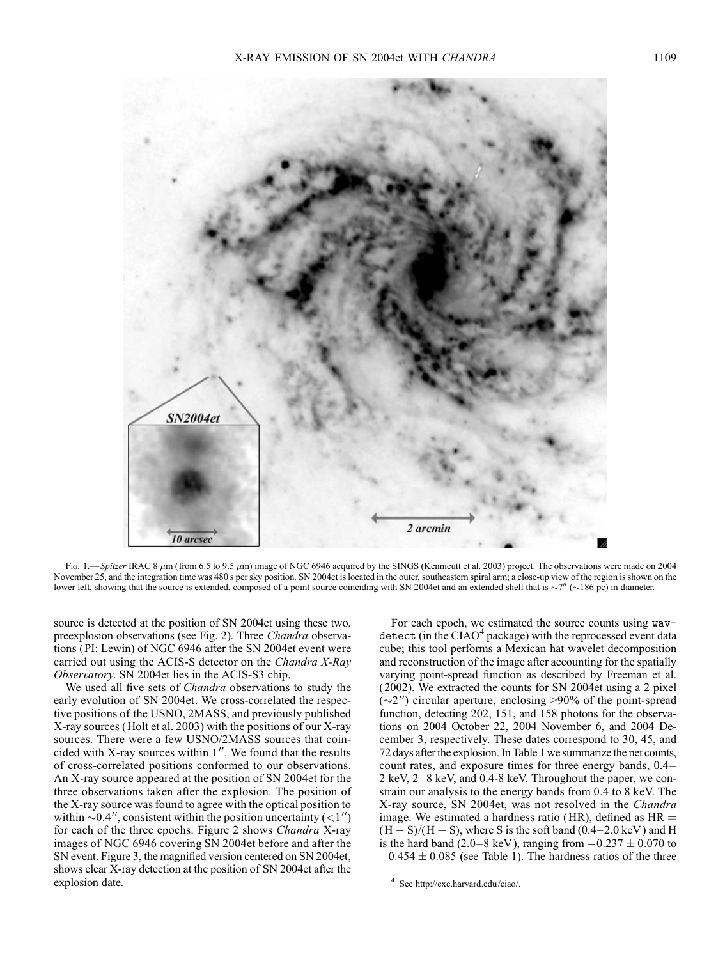

Fig. 1.—Spitzer IRAC 8  $\mu$ m (from 6.5 to 9.5  $\mu$ m) image of NGC 6946 acquired by the SINGS (Kennicutt et al. 2003) project. The observations were made on 2004 November 25, and the integration time was 480 s per sky position. SN 2004et is located in the outer, southeastern spiral arm; a close-up view of the region is shown on the lower left, showing that the source is extended, composed of a point source coinciding with SN 2004et and an extended shell that is  $\sim$ 7" ( $\sim$ 186 pc) in diameter.

source is detected at the position of SN 2004et using these two, preexplosion observations (see Fig. 2). Three Chandra observations (PI: Lewin) of NGC 6946 after the SN 2004et event were carried out using the ACIS-S detector on the Chandra X-Ray Observatory. SN 2004et lies in the ACIS-S3 chip.

We used all five sets of *Chandra* observations to study the early evolution of SN 2004et. We cross-correlated the respective positions of the USNO, 2MASS, and previously published X-ray sources (Holt et al. 2003) with the positions of our X-ray sources. There were a few USNO/2MASS sources that coincided with X-ray sources within  $1''$ . We found that the results of cross-correlated positions conformed to our observations. An X-ray source appeared at the position of SN 2004et for the three observations taken after the explosion. The position of the X-ray source was found to agree with the optical position to within  $\sim 0.4$ ", consistent within the position uncertainty (<1") for each of the three epochs. Figure 2 shows Chandra X-ray images of NGC 6946 covering SN 2004et before and after the SN event. Figure 3, the magnified version centered on SN 2004et, shows clear X-ray detection at the position of SN 2004et after the explosion date.

For each epoch, we estimated the source counts using wavdetect (in the  $CIAO<sup>4</sup>$  package) with the reprocessed event data cube; this tool performs a Mexican hat wavelet decomposition and reconstruction of the image after accounting for the spatially varying point-spread function as described by Freeman et al. ( 2002). We extracted the counts for SN 2004et using a 2 pixel  $(\sim 2'')$  circular aperture, enclosing >90% of the point-spread function, detecting 202, 151, and 158 photons for the observations on 2004 October 22, 2004 November 6, and 2004 December 3, respectively. These dates correspond to 30, 45, and 72 days after the explosion. In Table 1 we summarize the net counts, count rates, and exposure times for three energy bands,  $0.4-$ 2 keV,  $2-8$  keV, and 0.4-8 keV. Throughout the paper, we constrain our analysis to the energy bands from 0.4 to 8 keV. The X-ray source, SN 2004et, was not resolved in the Chandra image. We estimated a hardness ratio (HR), defined as  $HR =$  $(H - S)/(H + S)$ , where S is the soft band  $(0.4 - 2.0 \text{ keV})$  and H is the hard band (2.0–8 keV), ranging from  $-0.237 \pm 0.070$  to  $-0.454 \pm 0.085$  (see Table 1). The hardness ratios of the three

<sup>4</sup> See http://cxc.harvard.edu/ciao/.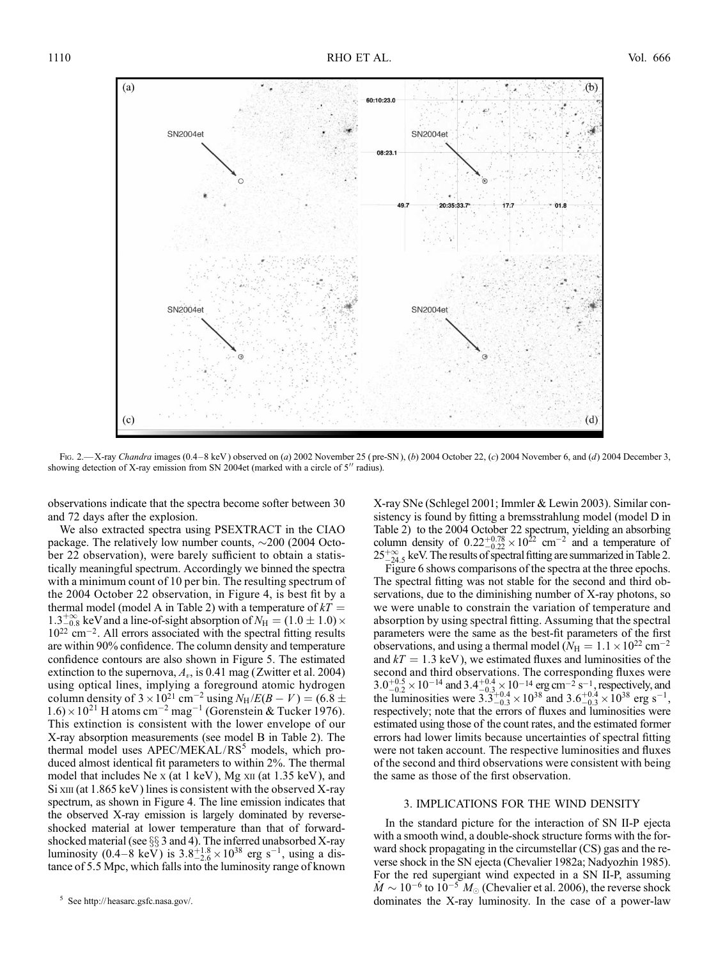

Fig. 2.—X-ray Chandra images (0.4-8 keV) observed on (a) 2002 November 25 (pre-SN), (b) 2004 October 22, (c) 2004 November 6, and (d) 2004 December 3, showing detection of X-ray emission from SN 2004et (marked with a circle of  $5''$  radius).

observations indicate that the spectra become softer between 30 and 72 days after the explosion.

We also extracted spectra using PSEXTRACT in the CIAO package. The relatively low number counts,  $\sim$ 200 (2004 October 22 observation), were barely sufficient to obtain a statistically meaningful spectrum. Accordingly we binned the spectra with a minimum count of 10 per bin. The resulting spectrum of the 2004 October 22 observation, in Figure 4, is best fit by a thermal model (model A in Table 2) with a temperature of  $kT =$  $1.3^{+\infty}_{-0.8}$  keV and a line-of-sight absorption of  $N_{\rm H} = (1.0 \pm 1.0) \times$ 1022 cm-2. All errors associated with the spectral fitting results are within 90% confidence. The column density and temperature confidence contours are also shown in Figure 5. The estimated extinction to the supernova,  $A_v$ , is 0.41 mag (Zwitter et al. 2004) using optical lines, implying a foreground atomic hydrogen column density of  $3 \times 10^{21}$  cm<sup>-2</sup> using  $N_H/E(B-V) = (6.8 \pm 10^{21} \text{ cm}^{-2})$  $1.6$  ×  $10^{21}$  H atoms cm<sup>-2</sup> mag<sup>-1</sup> (Gorenstein & Tucker 1976). This extinction is consistent with the lower envelope of our X-ray absorption measurements (see model B in Table 2). The thermal model uses APEC/MEKAL/RS<sup>5</sup> models, which produced almost identical fit parameters to within 2%. The thermal model that includes Ne x (at  $1 \text{ keV}$ ), Mg  $\text{xn}$  (at  $1.35 \text{ keV}$ ), and  $Si$  xIII (at 1.865 keV) lines is consistent with the observed X-ray spectrum, as shown in Figure 4. The line emission indicates that the observed X-ray emission is largely dominated by reverseshocked material at lower temperature than that of forwardshocked material (see  $\S$ § 3 and 4). The inferred unabsorbed X-ray luminosity (0.4–8 keV) is  $3.8^{+1.8}_{-2.6} \times 10^{38}$  erg s<sup>-1</sup>, using a distance of 5.5 Mpc, which falls into the luminosity range of known

X-ray SNe (Schlegel 2001; Immler & Lewin 2003). Similar consistency is found by fitting a bremsstrahlung model (model D in Table 2) to the 2004 October 22 spectrum, yielding an absorbing column density of  $0.22^{+0.78}_{-0.22} \times 10^{22}$  cm<sup>-2</sup> and a temperature of  $25^{+\infty}_{-24.5}$  keV. The results of spectral fitting are summarized in Table 2.

Figure 6 shows comparisons of the spectra at the three epochs. The spectral fitting was not stable for the second and third observations, due to the diminishing number of X-ray photons, so we were unable to constrain the variation of temperature and absorption by using spectral fitting. Assuming that the spectral parameters were the same as the best-fit parameters of the first observations, and using a thermal model ( $\bar{N}_{\rm H} = 1.1 \times 10^{22}$  cm<sup>-2</sup> and  $kT = 1.3$  keV), we estimated fluxes and luminosities of the second and third observations. The corresponding fluxes were  $3.0^{+0.5}_{-0.2}\times10^{-14}$  and  $3.4^{+0.4}_{-0.3} \times10^{-14}$  erg cm<sup>-2</sup> s<sup>-1</sup>, respectively, and the luminosities were  $3.3^{+0.4}_{-0.3} \times 10^{38}$  and  $3.6^{+0.4}_{-0.3} \times 10^{38}$  erg s<sup>-1</sup>, respectively; note that the errors of fluxes and luminosities were estimated using those of the count rates, and the estimated former errors had lower limits because uncertainties of spectral fitting were not taken account. The respective luminosities and fluxes of the second and third observations were consistent with being the same as those of the first observation.

### 3. IMPLICATIONS FOR THE WIND DENSITY

In the standard picture for the interaction of SN II-P ejecta with a smooth wind, a double-shock structure forms with the forward shock propagating in the circumstellar (CS) gas and the reverse shock in the SN ejecta (Chevalier 1982a; Nadyozhin 1985). For the red supergiant wind expected in a SN II-P, assuming  $\dot{M} \sim 10^{-6}$  to  $10^{-5} M_{\odot}$  (Chevalier et al. 2006), the reverse shock <sup>5</sup> See http://heasarc.gsfc.nasa.gov/. **See http://heasarc.gsfc.nasa.gov/. See http://heasarc.gsfc.nasa.gov/. See http://heasarc.gsfc.nasa.gov/. See http://heasarc.gsfc.nasa.gov/. See http://heasarc.gsfc.nasa.gov/.**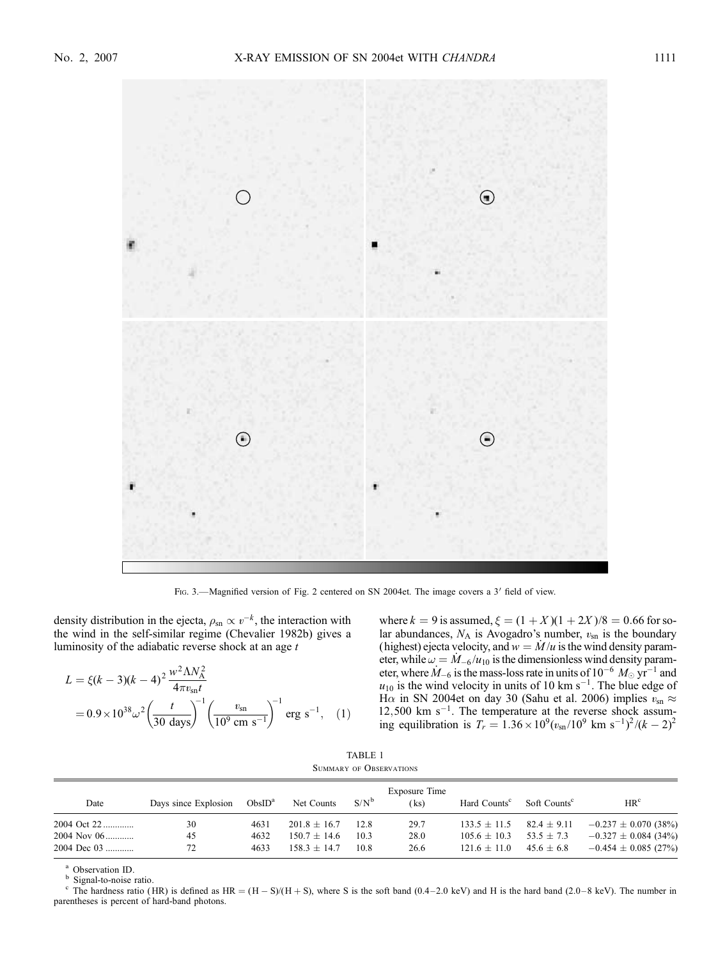

FIG. 3.—Magnified version of Fig. 2 centered on SN 2004et. The image covers a 3' field of view.

density distribution in the ejecta,  $\rho_{sn} \propto v^{-k}$ , the interaction with the wind in the self-similar regime (Chevalier 1982b) gives a luminosity of the adiabatic reverse shock at an age  $t$ 

$$
L = \xi(k-3)(k-4)^2 \frac{w^2 \Lambda N_A^2}{4\pi v_{\rm sn}t}
$$
  
=  $0.9 \times 10^{38} \omega^2 \left(\frac{t}{30 \text{ days}}\right)^{-1} \left(\frac{v_{\rm sn}}{10^9 \text{ cm s}^{-1}}\right)^{-1} \text{erg s}^{-1},$  (1)

where  $k = 9$  is assumed,  $\xi = (1 + X)(1 + 2X)/8 = 0.66$  for solar abundances,  $N_A$  is Avogadro's number,  $v_{\rm sn}$  is the boundary (highest) ejecta velocity, and  $w = \dot{M}/u$  is the wind density parameter, while  $\omega = M_{-6}/u_{10}$  is the dimensionless wind density parameter, where  $\dot{M}_{-6}$  is the mass-loss rate in units of  $10^{-6}~M_{\odot}~{\rm yr}^{-1}$  and  $u_{10}$  is the wind velocity in units of 10 km s<sup>-1</sup>. The blue edge of H $\alpha$  in SN 2004et on day 30 (Sahu et al. 2006) implies  $v_{\text{sn}} \approx$  $12,500$  km s<sup>-1</sup>. The temperature at the reverse shock assuming equilibration is  $T_r = 1.36 \times 10^9 (v_{\text{sn}}/10^9 \text{ km s}^{-1})^2 / (k-2)^2$ 

| TABLE 1 |  |                         |  |  |  |  |
|---------|--|-------------------------|--|--|--|--|
|         |  | SUMMARY OF OBSERVATIONS |  |  |  |  |

| Date        | Days since Explosion | ObsID <sup>a</sup> | Net Counts       | $S/N^b$ | Exposure Time<br>(ks) | Hard Counts <sup>c</sup> | Soft Counts <sup>c</sup> | HR <sup>c</sup>          |
|-------------|----------------------|--------------------|------------------|---------|-----------------------|--------------------------|--------------------------|--------------------------|
| 2004 Oct 22 | 30                   | 4631               | $201.8 \pm 16.7$ | 12.8    | 29.7                  | $133.5 \pm 11.5$         | $82.4 \pm 9.11$          | $-0.237 \pm 0.070$ (38%) |
| 2004 Nov 06 | 45                   | 4632               | $150.7 \pm 14.6$ | 10.3    | 28.0                  | $105.6 \pm 10.3$         | $53.5 \pm 7.3$           | $-0.327 \pm 0.084$ (34%) |
| 2004 Dec 03 | 72                   | 4633               | $158.3 + 14.7$   | 10.8    | 26.6                  | $121.6 + 11.0$           | $45.6 \pm 6.8$           | $-0.454 \pm 0.085$ (27%) |

<sup>a</sup> Observation ID.<br><sup>b</sup> Signal-to-noise ratio.<br><sup>c</sup> The hardness ratio (HR) is defined as HR = (H - S)/(H + S), where S is the soft band (0.4–2.0 keV) and H is the hard band (2.0–8 keV). The number in parentheses is percent of hard-band photons.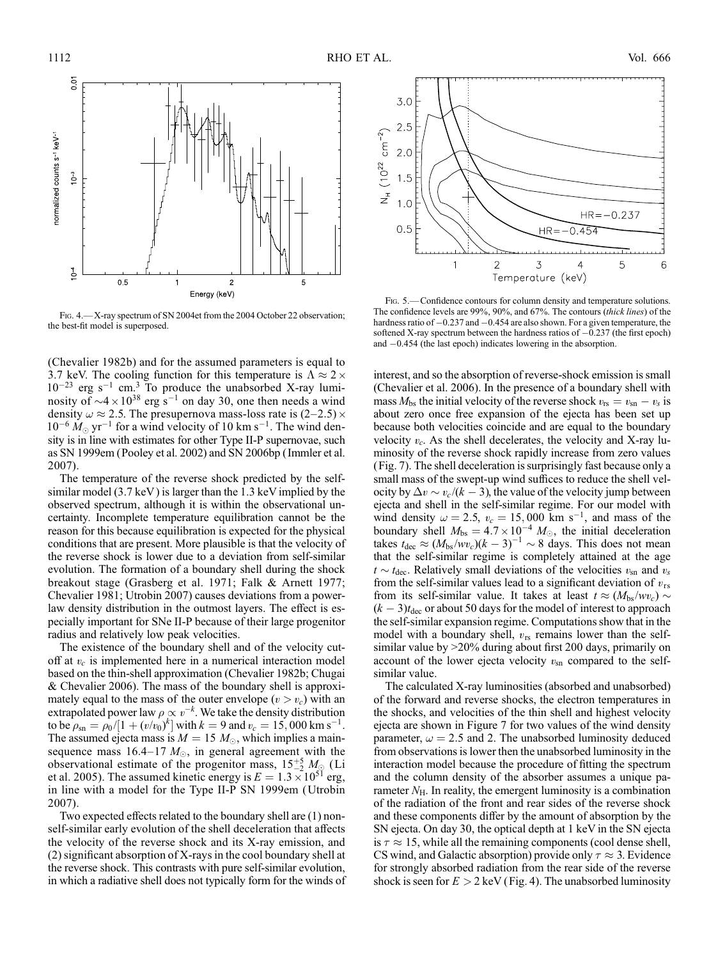

Fig. 4.—X-ray spectrum of SN 2004et from the 2004 October 22 observation; the best-fit model is superposed.

(Chevalier 1982b) and for the assumed parameters is equal to 3.7 keV. The cooling function for this temperature is  $\Lambda \approx 2 \times$  $10^{-23}$  erg s<sup>-1</sup> cm.<sup>3</sup> To produce the unabsorbed X-ray luminosity of  $\sim$ 4  $\times$  10<sup>38</sup> erg s<sup>-1</sup> on day 30, one then needs a wind density  $\omega \approx 2.5$ . The presupernova mass-loss rate is (2-2.5)  $\times$  $10^{-6} M_{\odot}$  yr<sup>-1</sup> for a wind velocity of 10 km s<sup>-1</sup>. The wind density is in line with estimates for other Type II-P supernovae, such as SN 1999em (Pooley et al. 2002) and SN 2006bp ( Immler et al. 2007).

The temperature of the reverse shock predicted by the selfsimilar model (3.7 keV ) is larger than the 1.3 keV implied by the observed spectrum, although it is within the observational uncertainty. Incomplete temperature equilibration cannot be the reason for this because equilibration is expected for the physical conditions that are present. More plausible is that the velocity of the reverse shock is lower due to a deviation from self-similar evolution. The formation of a boundary shell during the shock breakout stage (Grasberg et al. 1971; Falk & Arnett 1977; Chevalier 1981; Utrobin 2007) causes deviations from a powerlaw density distribution in the outmost layers. The effect is especially important for SNe II-P because of their large progenitor radius and relatively low peak velocities.

The existence of the boundary shell and of the velocity cutoff at  $v_c$  is implemented here in a numerical interaction model based on the thin-shell approximation (Chevalier 1982b; Chugai & Chevalier 2006). The mass of the boundary shell is approximately equal to the mass of the outer envelope  $(v > v_c)$  with an extrapolated power law  $\rho \propto v^{-k}$ . We take the density distribution to be  $\rho_{\rm sn} = \rho_0/[1 + (v/v_0)^k]$  with  $k = 9$  and  $v_c = 15,000$  km s<sup>-1</sup>. The assumed ejecta mass is  $M = 15 M_{\odot}$ , which implies a mainsequence mass 16.4–17  $M_{\odot}$ , in general agreement with the observational estimate of the progenitor mass,  $15\frac{+5}{2} M_{\odot}$  (Li et al. 2005). The assumed kinetic energy is  $E = 1.3 \times 10^{51}$  erg, in line with a model for the Type II-P SN 1999em (Utrobin 2007).

Two expected effects related to the boundary shell are (1) nonself-similar early evolution of the shell deceleration that affects the velocity of the reverse shock and its X-ray emission, and (2) significant absorption of X-rays in the cool boundary shell at the reverse shock. This contrasts with pure self-similar evolution, in which a radiative shell does not typically form for the winds of



Fig. 5.—Confidence contours for column density and temperature solutions. The confidence levels are 99%, 90%, and 67%. The contours (thick lines) of the hardness ratio of  $-0.237$  and  $-0.454$  are also shown. For a given temperature, the softened X-ray spectrum between the hardness ratios of  $-0.237$  (the first epoch) and  $-0.454$  (the last epoch) indicates lowering in the absorption.

interest, and so the absorption of reverse-shock emission is small (Chevalier et al. 2006). In the presence of a boundary shell with mass  $M_{\rm bs}$  the initial velocity of the reverse shock  $v_{\rm rs} = v_{\rm sn} - v_s$  is about zero once free expansion of the ejecta has been set up because both velocities coincide and are equal to the boundary velocity  $v_c$ . As the shell decelerates, the velocity and X-ray luminosity of the reverse shock rapidly increase from zero values (Fig. 7). The shell deceleration is surprisingly fast because only a small mass of the swept-up wind suffices to reduce the shell velocity by  $\Delta v \sim v_c/(k-3)$ , the value of the velocity jump between ejecta and shell in the self-similar regime. For our model with wind density  $\omega = 2.5$ ,  $v_c = 15,000$  km s<sup>-1</sup>, and mass of the boundary shell  $M_{\text{bs}} = 4.7 \times 10^{-4} M_{\odot}$ , the initial deceleration takes  $t_{\text{dec}} \approx (M_{\text{bs}}/w_{v_c})(k-3)^{-1} \sim 8$  days. This does not mean that the self-similar regime is completely attained at the age  $t \sim t_{\text{dec}}$ . Relatively small deviations of the velocities  $v_{\text{sn}}$  and  $v_s$ from the self-similar values lead to a significant deviation of  $v_{rs}$ from its self-similar value. It takes at least  $t \approx (M_{bs}/w_{c}) \sim$  $(k-3)t_{\text{dec}}$  or about 50 days for the model of interest to approach the self-similar expansion regime. Computations show that in the model with a boundary shell,  $v_{rs}$  remains lower than the selfsimilar value by >20% during about first 200 days, primarily on account of the lower ejecta velocity  $v_{\rm sn}$  compared to the selfsimilar value.

The calculated X-ray luminosities (absorbed and unabsorbed) of the forward and reverse shocks, the electron temperatures in the shocks, and velocities of the thin shell and highest velocity ejecta are shown in Figure 7 for two values of the wind density parameter,  $\omega = 2.5$  and 2. The unabsorbed luminosity deduced from observations is lower then the unabsorbed luminosity in the interaction model because the procedure of fitting the spectrum and the column density of the absorber assumes a unique parameter  $N_{\rm H}$ . In reality, the emergent luminosity is a combination of the radiation of the front and rear sides of the reverse shock and these components differ by the amount of absorption by the SN ejecta. On day 30, the optical depth at 1 keV in the SN ejecta is  $\tau \approx 15$ , while all the remaining components (cool dense shell, CS wind, and Galactic absorption) provide only  $\tau \approx 3$ . Evidence for strongly absorbed radiation from the rear side of the reverse shock is seen for  $E > 2 \text{ keV}$  (Fig. 4). The unabsorbed luminosity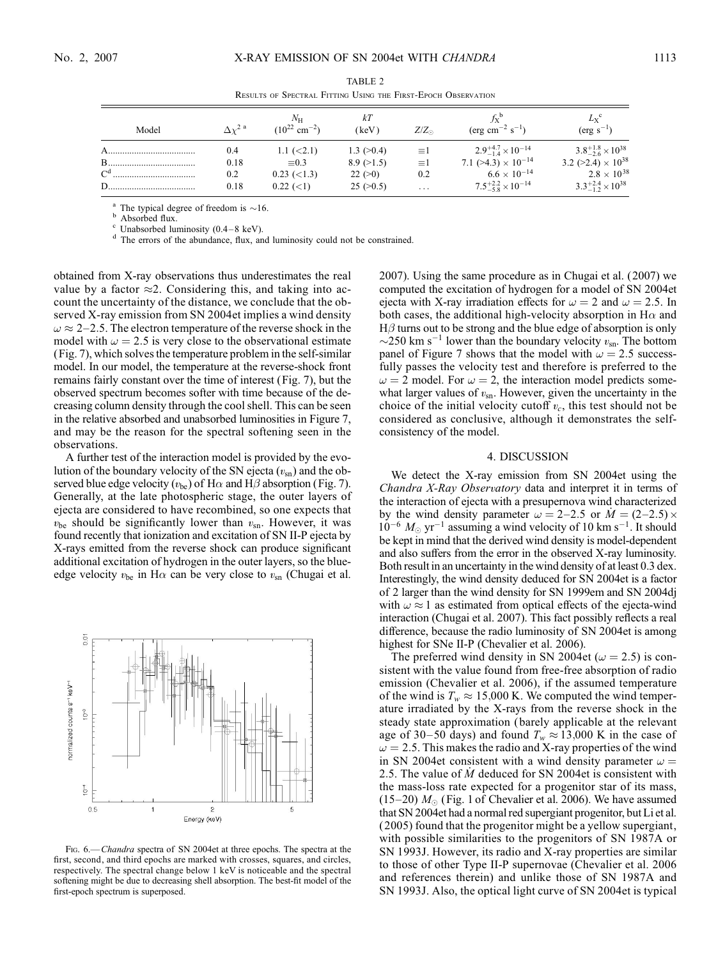|  |  | × |
|--|--|---|
|  |  |   |

| Model   | $\Lambda v^2$ <sup>a</sup> | Nн<br>$(10^{22}$ cm <sup>-2</sup> ) | kТ<br>(keV)          | $Z/Z_{\odot}$ | $f_Y^{\circ}$<br>$(\text{erg cm}^{-2} \text{ s}^{-1})$     | $L_{\rm X}$ <sup>c</sup><br>$(\text{erg } s^{-1})$         |
|---------|----------------------------|-------------------------------------|----------------------|---------------|------------------------------------------------------------|------------------------------------------------------------|
| A       | 0.4                        | $1.1 \leq 2.1$                      | $1.3 \ ( >0.4)$      | $\equiv$ 1    | $2.9^{+4.7}_{-1.4}\times10^{-14}$                          | $3.8^{+1.8}_{-2.6}\times10^{38}$                           |
|         | 0.18                       | $\equiv 0.3$                        | 8.9(>1.5)            | $\equiv$ 1    | 7.1 ( $>4.3$ ) $\times$ 10 <sup>-14</sup>                  | 3.2 ( $>2.4$ ) $\times$ 10 <sup>38</sup>                   |
| $C^{d}$ | 0.2<br>0.18                | $0.23 \leq l$ (<1.3)<br>$0.22$ (<1) | 22 (>0)<br>25 (>0.5) | 0.2<br>.      | $6.6 \times 10^{-14}$<br>$7.5^{+2.2}_{-5.8}\times10^{-14}$ | $2.8 \times 10^{38}$<br>$3.3_{-1.2}^{+2.4} \times 10^{38}$ |

TABLE 2 Results of Spectral Fitting Using the First-Epoch Observation

<sup>a</sup> The typical degree of freedom is  $\sim$ 16.<br><sup>b</sup> Absorbed flux. c Unabsorbed luminosity (0.4–8 keV). d The errors of the abundance, flux, and luminosity could not be constrained.

obtained from X-ray observations thus underestimates the real value by a factor  $\approx$ 2. Considering this, and taking into account the uncertainty of the distance, we conclude that the observed X-ray emission from SN 2004et implies a wind density  $\omega \approx 2-2.5$ . The electron temperature of the reverse shock in the model with  $\omega = 2.5$  is very close to the observational estimate (Fig. 7), which solves the temperature problem in the self-similar model. In our model, the temperature at the reverse-shock front remains fairly constant over the time of interest (Fig. 7), but the observed spectrum becomes softer with time because of the decreasing column density through the cool shell. This can be seen in the relative absorbed and unabsorbed luminosities in Figure 7, and may be the reason for the spectral softening seen in the observations.

A further test of the interaction model is provided by the evolution of the boundary velocity of the SN ejecta  $(v_{\text{sn}})$  and the observed blue edge velocity ( $v_{be}$ ) of H $\alpha$  and H $\beta$  absorption (Fig. 7). Generally, at the late photospheric stage, the outer layers of ejecta are considered to have recombined, so one expects that  $v_{be}$  should be significantly lower than  $v_{\text{sn}}$ . However, it was found recently that ionization and excitation of SN II-P ejecta by X-rays emitted from the reverse shock can produce significant additional excitation of hydrogen in the outer layers, so the blueedge velocity  $v_{be}$  in H $\alpha$  can be very close to  $v_{\rm sn}$  (Chugai et al.



FIG. 6.—Chandra spectra of SN 2004et at three epochs. The spectra at the first, second, and third epochs are marked with crosses, squares, and circles, respectively. The spectral change below 1 keV is noticeable and the spectral softening might be due to decreasing shell absorption. The best-fit model of the first-epoch spectrum is superposed.

2007). Using the same procedure as in Chugai et al. (2007) we computed the excitation of hydrogen for a model of SN 2004et ejecta with X-ray irradiation effects for  $\omega = 2$  and  $\omega = 2.5$ . In both cases, the additional high-velocity absorption in H $\alpha$  and  $H\beta$  turns out to be strong and the blue edge of absorption is only  $\sim$ 250 km s<sup>-1</sup> lower than the boundary velocity  $v_{\text{sn}}$ . The bottom panel of Figure 7 shows that the model with  $\omega = 2.5$  successfully passes the velocity test and therefore is preferred to the  $\omega = 2$  model. For  $\omega = 2$ , the interaction model predicts somewhat larger values of  $v_{\text{sn}}$ . However, given the uncertainty in the choice of the initial velocity cutoff  $v_c$ , this test should not be considered as conclusive, although it demonstrates the selfconsistency of the model.

## 4. DISCUSSION

We detect the X-ray emission from SN 2004et using the Chandra X-Ray Observatory data and interpret it in terms of the interaction of ejecta with a presupernova wind characterized by the wind density parameter  $\omega = 2-2.5$  or  $\dot{M} = (2-2.5) \times$  $10^{-6}$   $M_{\odot}$  yr<sup>-1</sup> assuming a wind velocity of 10 km s<sup>-1</sup>. It should be kept in mind that the derived wind density is model-dependent and also suffers from the error in the observed X-ray luminosity. Both result in an uncertainty in the wind density of at least 0.3 dex. Interestingly, the wind density deduced for SN 2004et is a factor of 2 larger than the wind density for SN 1999em and SN 2004dj with  $\omega \approx 1$  as estimated from optical effects of the ejecta-wind interaction (Chugai et al. 2007). This fact possibly reflects a real difference, because the radio luminosity of SN 2004et is among highest for SNe II-P (Chevalier et al. 2006).

The preferred wind density in SN 2004et ( $\omega = 2.5$ ) is consistent with the value found from free-free absorption of radio emission (Chevalier et al. 2006), if the assumed temperature of the wind is  $T_w \approx 15,000$  K. We computed the wind temperature irradiated by the X-rays from the reverse shock in the steady state approximation ( barely applicable at the relevant age of 30–50 days) and found  $T_w \approx 13,000$  K in the case of  $\omega = 2.5$ . This makes the radio and X-ray properties of the wind in SN 2004et consistent with a wind density parameter  $\omega =$ 2.5. The value of  $\dot{M}$  deduced for SN 2004et is consistent with the mass-loss rate expected for a progenitor star of its mass, (15-20)  $M_{\odot}$  (Fig. 1 of Chevalier et al. 2006). We have assumed that SN 2004et had a normal red supergiant progenitor, but Li et al. ( 2005) found that the progenitor might be a yellow supergiant, with possible similarities to the progenitors of SN 1987A or SN 1993J. However, its radio and X-ray properties are similar to those of other Type II-P supernovae (Chevalier et al. 2006 and references therein) and unlike those of SN 1987A and SN 1993J. Also, the optical light curve of SN 2004et is typical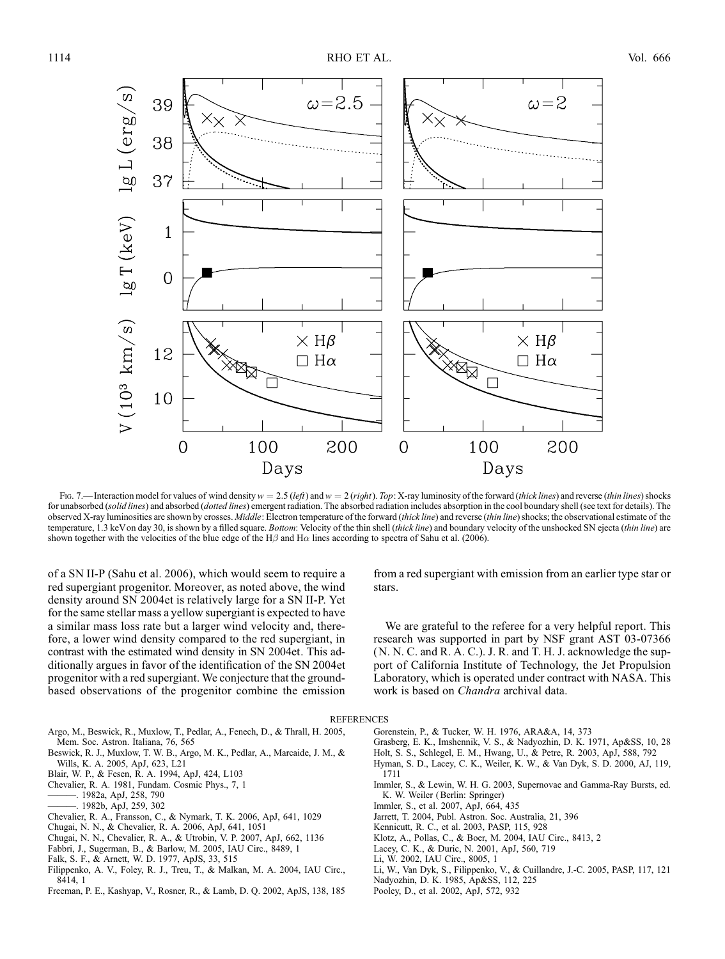

Fig. 7.—Interaction model for values of wind density  $w = 2.5$  (left) and  $w = 2$  (right). Top: X-ray luminosity of the forward (thick lines) and reverse (thin lines) shocks for unabsorbed (solid lines) and absorbed (dotted lines) emergent radiation. The absorbed radiation includes absorption in the cool boundary shell (see text for details). The observed X-ray luminosities are shown by crosses. Middle: Electron temperature of the forward (thick line) and reverse (thin line) shocks; the observational estimate of the temperature, 1.3 keV on day 30, is shown by a filled square. Bottom: Velocity of the thin shell (thick line) and boundary velocity of the unshocked SN ejecta (thin line) are shown together with the velocities of the blue edge of the H $\beta$  and H $\alpha$  lines according to spectra of Sahu et al. (2006).

of a SN II-P (Sahu et al. 2006), which would seem to require a red supergiant progenitor. Moreover, as noted above, the wind density around SN 2004et is relatively large for a SN II-P. Yet for the same stellar mass a yellow supergiant is expected to have a similar mass loss rate but a larger wind velocity and, therefore, a lower wind density compared to the red supergiant, in contrast with the estimated wind density in SN 2004et. This additionally argues in favor of the identification of the SN 2004et progenitor with a red supergiant. We conjecture that the groundbased observations of the progenitor combine the emission

from a red supergiant with emission from an earlier type star or stars.

We are grateful to the referee for a very helpful report. This research was supported in part by NSF grant AST 03-07366 (N. N. C. and R. A. C.). J. R. and T. H. J. acknowledge the support of California Institute of Technology, the Jet Propulsion Laboratory, which is operated under contract with NASA. This work is based on Chandra archival data.

**REFERENCES** 

- Argo, M., Beswick, R., Muxlow, T., Pedlar, A., Fenech, D., & Thrall, H. 2005, Mem. Soc. Astron. Italiana, 76, 565 Beswick, R. J., Muxlow, T. W. B., Argo, M. K., Pedlar, A., Marcaide, J. M., &
- Wills, K. A. 2005, ApJ, 623, L21
- Blair, W. P., & Fesen, R. A. 1994, ApJ, 424, L103
- Chevalier, R. A. 1981, Fundam. Cosmic Phys., 7, 1
- ———. 1982a, ApJ, 258, 790
- ———. 1982b, ApJ, 259, 302
- Chevalier, R. A., Fransson, C., & Nymark, T. K. 2006, ApJ, 641, 1029
- Chugai, N. N., & Chevalier, R. A. 2006, ApJ, 641, 1051
- Chugai, N. N., Chevalier, R. A., & Utrobin, V. P. 2007, ApJ, 662, 1136
- Fabbri, J., Sugerman, B., & Barlow, M. 2005, IAU Circ., 8489, 1
- Falk, S. F., & Arnett, W. D. 1977, ApJS, 33, 515
- Filippenko, A. V., Foley, R. J., Treu, T., & Malkan, M. A. 2004, IAU Circ., 8414, 1
- Freeman, P. E., Kashyap, V., Rosner, R., & Lamb, D. Q. 2002, ApJS, 138, 185
- Gorenstein, P., & Tucker, W. H. 1976, ARA&A, 14, 373
- Grasberg, E. K., Imshennik, V. S., & Nadyozhin, D. K. 1971, Ap&SS, 10, 28
- Holt, S. S., Schlegel, E. M., Hwang, U., & Petre, R. 2003, ApJ, 588, 792
- Hyman, S. D., Lacey, C. K., Weiler, K. W., & Van Dyk, S. D. 2000, AJ, 119, 1711
- Immler, S., & Lewin, W. H. G. 2003, Supernovae and Gamma-Ray Bursts, ed. K. W. Weiler (Berlin: Springer)
- Immler, S., et al. 2007, ApJ, 664, 435
- Jarrett, T. 2004, Publ. Astron. Soc. Australia, 21, 396
- Kennicutt, R. C., et al. 2003, PASP, 115, 928
- Klotz, A., Pollas, C., & Boer, M. 2004, IAU Circ., 8413, 2
- Lacey, C. K., & Duric, N. 2001, ApJ, 560, 719
- Li, W. 2002, IAU Circ., 8005, 1
- Li, W., Van Dyk, S., Filippenko, V., & Cuillandre, J.-C. 2005, PASP, 117, 121
- Nadyozhin, D. K. 1985, Ap&SS, 112, 225
- Pooley, D., et al. 2002, ApJ, 572, 932